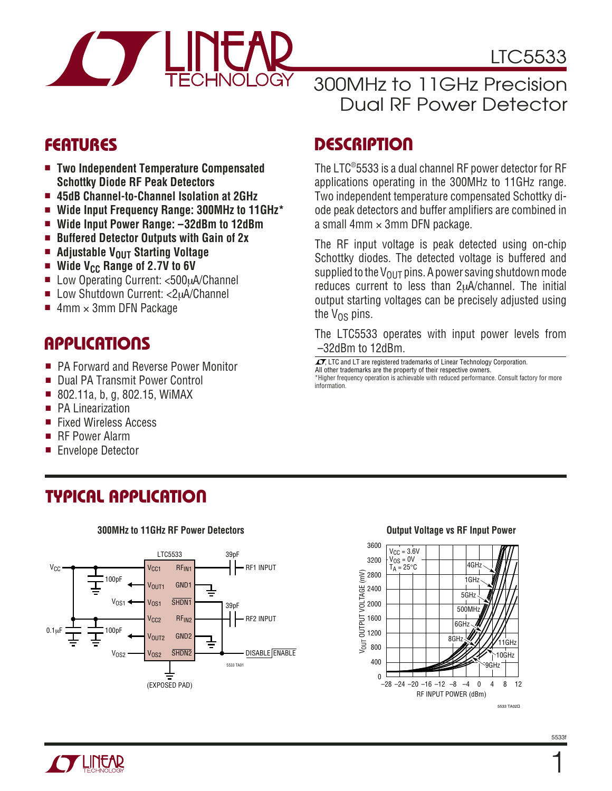

### **FEATURES**

- **Two Independent Temperature Compensated Schottky Diode RF Peak Detectors**
- **45dB Channel-to-Channel Isolation at 2GHz**
- **Wide Input Frequency Range: 300MHz to 11GHz\***
- **Wide Input Power Range: –32dBm to 12dBm**
- **Buffered Detector Outputs with Gain of 2x**
- **Adjustable V<sub>OUT</sub> Starting Voltage**
- Wide V<sub>CC</sub> Range of 2.7V to 6V
- Low Operating Current: <500µA/Channel
- Low Shutdown Current: <2uA/Channel
- 4mm  $\times$  3mm DFN Package

### **APPLICATIONS**

- PA Forward and Reverse Power Monitor
- Dual PA Transmit Power Control
- 802.11a, b, g, 802.15, WiMAX
- PA Linearization
- **Fixed Wireless Access**
- RF Power Alarm
- **Envelope Detector**

# **TYPICAL APPLICATIO U**



#### **300MHz to 11GHz RF Power Detectors**

# 300MHz to 11GHz Precision Dual RF Power Detector

### **DESCRIPTION**

The LTC® 5533 is a dual channel RF power detector for RF applications operating in the 300MHz to 11GHz range. Two independent temperature compensated Schottky diode peak detectors and buffer amplifiers are combined in a small  $4 \text{mm} \times 3 \text{mm}$  DFN package.

The RF input voltage is peak detected using on-chip Schottky diodes. The detected voltage is buffered and supplied to the  $V_{OUT}$  pins. A power saving shutdown mode reduces current to less than 2µA/channel. The initial output starting voltages can be precisely adjusted using the  $V_{\Omega S}$  pins.

The LTC5533 operates with input power levels from –32dBm to 12dBm.

 $\sqrt{J}$ , LTC and LT are registered trademarks of Linear Technology Corporation. All other trademarks are the property of their respective owners. \*Higher frequency operation is achievable with reduced performance. Consult factory for more information.



#### **Output Voltage vs RF Input Power**

1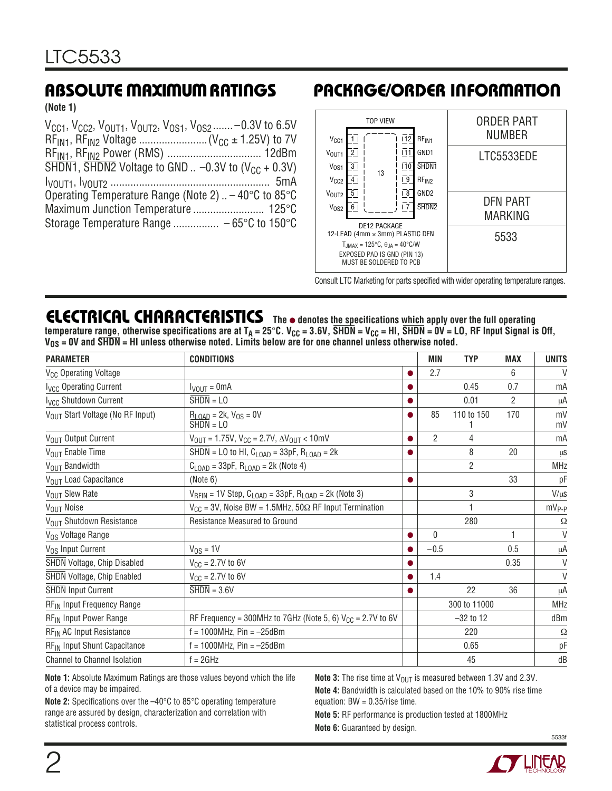**(Note 1)**

| $V_{CG1}$ , $V_{CC2}$ , $V_{OUT1}$ , $V_{OUT2}$ , $V_{OS1}$ , $V_{OS2}$ -0.3V to 6.5V                   |  |
|---------------------------------------------------------------------------------------------------------|--|
|                                                                                                         |  |
|                                                                                                         |  |
| $\overline{\text{SHDN1}}$ , $\overline{\text{SHDN2}}$ Voltage to GND  -0.3V to (V <sub>CC</sub> + 0.3V) |  |
|                                                                                                         |  |
| Operating Temperature Range (Note 2) $-40^{\circ}$ C to 85 $^{\circ}$ C                                 |  |
|                                                                                                         |  |
|                                                                                                         |  |

# **ABSOLUTE MAXIMUM RATINGS PACKAGE/ORDER INFORMATION**



Consult LTC Marketing for parts specified with wider operating temperature ranges.

**ELECTRICAL CHARACTERISTICS The** ● **denotes the specifications which apply over the full operating** temperature r<u>ange,</u> otherwise specifications are at T<sub>A</sub> = 25°C. V<sub>CC</sub> = 3.6V, SHDN = V<sub>CC</sub> = HI, SHDN = 0V = LO, RF Input Signal is Off, **VOS = 0V and SHDN = HI unless otherwise noted. Limits below are for one channel unless otherwise noted.**

| <b>PARAMETER</b>                         | <b>CONDITIONS</b>                                                                   |           | <b>MIN</b>     | <b>TYP</b>     | <b>MAX</b>     | <b>UNITS</b>      |
|------------------------------------------|-------------------------------------------------------------------------------------|-----------|----------------|----------------|----------------|-------------------|
| V <sub>CC</sub> Operating Voltage        |                                                                                     |           | 2.7            |                | 6              | V                 |
| <b>Ivcc Operating Current</b>            | $I_{VOUT} = 0mA$                                                                    |           |                | 0.45           | 0.7            | mA                |
| I <sub>VCC</sub> Shutdown Current        | $\overline{\text{SHDN}} = \text{LO}$                                                |           |                | 0.01           | $\overline{2}$ | μA                |
| VOUT Start Voltage (No RF Input)         | $R_{LOAD} = 2k, V_{OS} = 0V$<br>$SHDN = LO$                                         |           | 85             | 110 to 150     | 170            | mV<br>mV          |
| V <sub>OUT</sub> Output Current          | $V_{\text{OUT}} = 1.75V$ , $V_{\text{CC}} = 2.7V$ , $\Delta V_{\text{OUT}} < 10$ mV |           | $\overline{2}$ | 4              |                | mA                |
| V <sub>OUT</sub> Enable Time             | SHDN = LO to HI, $C_{\text{LOAD}}$ = 33pF, $R_{\text{LOAD}}$ = 2k                   | $\bullet$ |                | 8              | 20             | μS                |
| V <sub>OUT</sub> Bandwidth               | $C_{\text{LOAD}} = 33pF$ , $R_{\text{LOAD}} = 2k$ (Note 4)                          |           |                | $\overline{2}$ |                | <b>MHz</b>        |
| V <sub>OUT</sub> Load Capacitance        | (Note 6)                                                                            | 0         |                |                | 33             | pF                |
| V <sub>OUT</sub> Slew Rate               | $V_{RFIN}$ = 1V Step, $C_{LOAD}$ = 33pF, $R_{LOAD}$ = 2k (Note 3)                   |           |                | 3              |                | $V/\mu s$         |
| V <sub>OUT</sub> Noise                   | $V_{CC}$ = 3V, Noise BW = 1.5MHz, 50 $\Omega$ RF Input Termination                  |           |                |                |                | mV <sub>P-P</sub> |
| V <sub>OUT</sub> Shutdown Resistance     | Resistance Measured to Ground                                                       |           |                | 280            |                | $\Omega$          |
| V <sub>OS</sub> Voltage Range            |                                                                                     | $\bullet$ | $\mathbf{0}$   |                |                | $\vee$            |
| V <sub>OS</sub> Input Current            | $V_{OS} = 1V$                                                                       | $\bullet$ | $-0.5$         |                | 0.5            | μA                |
| SHDN Voltage, Chip Disabled              | $V_{CC} = 2.7V$ to 6V                                                               | 0         |                |                | 0.35           | V                 |
| SHDN Voltage, Chip Enabled               | $V_{CG} = 2.7V$ to 6V                                                               | 0         | 1.4            |                |                | $\vee$            |
| <b>SHDN Input Current</b>                | $\overline{\text{SHDN}} = 3.6 \text{V}$                                             |           |                | 22             | 36             | μA                |
| RF <sub>IN</sub> Input Frequency Range   |                                                                                     |           |                | 300 to 11000   |                | <b>MHz</b>        |
| RF <sub>IN</sub> Input Power Range       | RF Frequency = 300MHz to 7GHz (Note 5, 6) $V_{CC}$ = 2.7V to 6V                     |           | $-32$ to 12    |                | dBm            |                   |
| RF <sub>IN</sub> AC Input Resistance     | $f = 1000 MHz$ , $Pin = -25dBm$                                                     |           |                | 220            |                | Ω                 |
| RF <sub>IN</sub> Input Shunt Capacitance | $f = 1000 MHz$ , Pin = $-25dBm$                                                     |           |                | 0.65           |                | рF                |
| Channel to Channel Isolation             | $f = 2GHz$                                                                          |           |                | 45             |                | dB                |

**Note 1:** Absolute Maximum Ratings are those values beyond which the life of a device may be impaired.

**Note 2:** Specifications over the –40°C to 85°C operating temperature range are assured by design, characterization and correlation with statistical process controls.

**Note 3:** The rise time at  $V_{\text{OUT}}$  is measured between 1.3V and 2.3V. **Note 4:** Bandwidth is calculated based on the 10% to 90% rise time equation: BW = 0.35/rise time.

**Note 5:** RF performance is production tested at 1800MHz

**Note 6:** Guaranteed by design.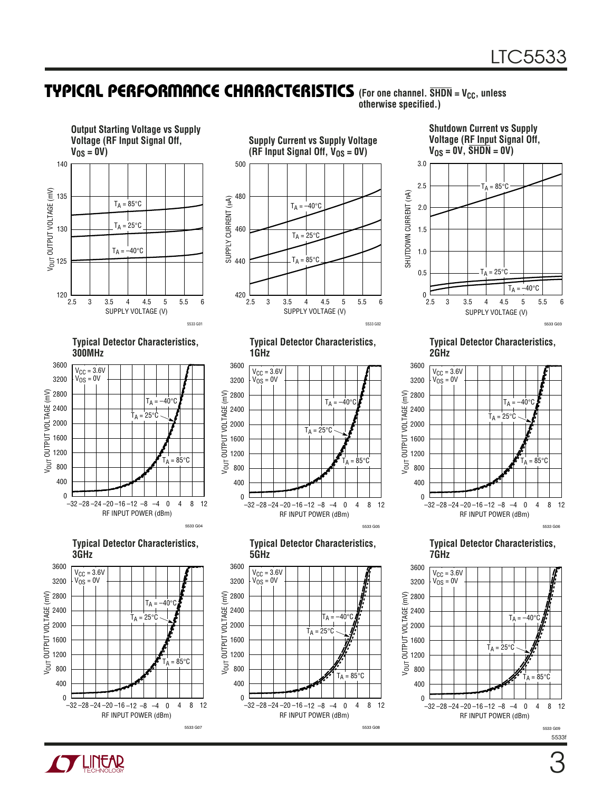#### **TYPICAL PERFORMANCE CHARACTERISTICS** (For one channel. SHDN = V<sub>CC</sub>, unless **otherwise specified.)**





3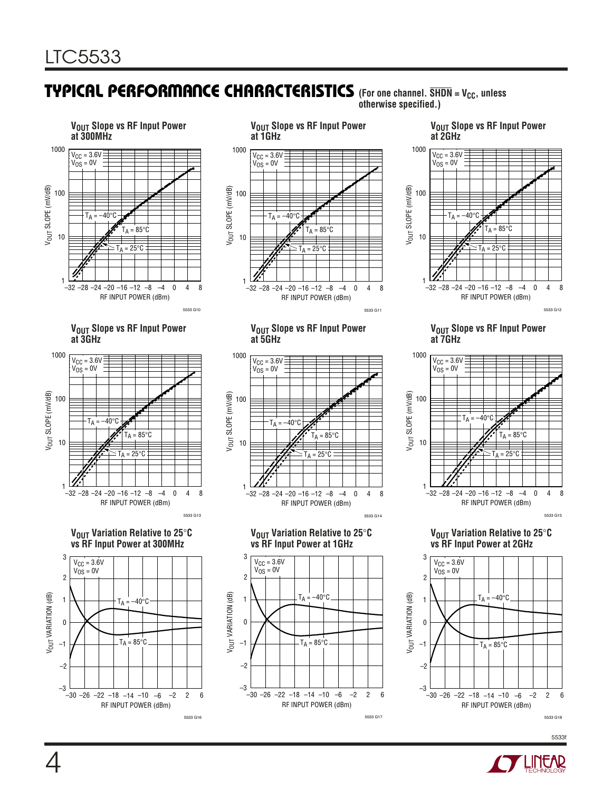#### **TYPICAL PERFORMANCE CHARACTERISTICS** (For one channel. SHDN = V<sub>CC</sub>, unless **otherwise specified.)**





#### **VOUT Slope vs RF Input Power at 2GHz**



#### **VOUT Slope vs RF Input Power at 3GHz**



#### **VOUT Variation Relative to 25**°**C vs RF Input Power at 300MHz**



#### **VOUT Slope vs RF Input Power at 5GHz**



**VOUT Variation Relative to 25**°**C vs RF Input Power at 1GHz**



#### **VOUT Slope vs RF Input Power at 7GHz**



**VOUT Variation Relative to 25**°**C vs RF Input Power at 2GHz**



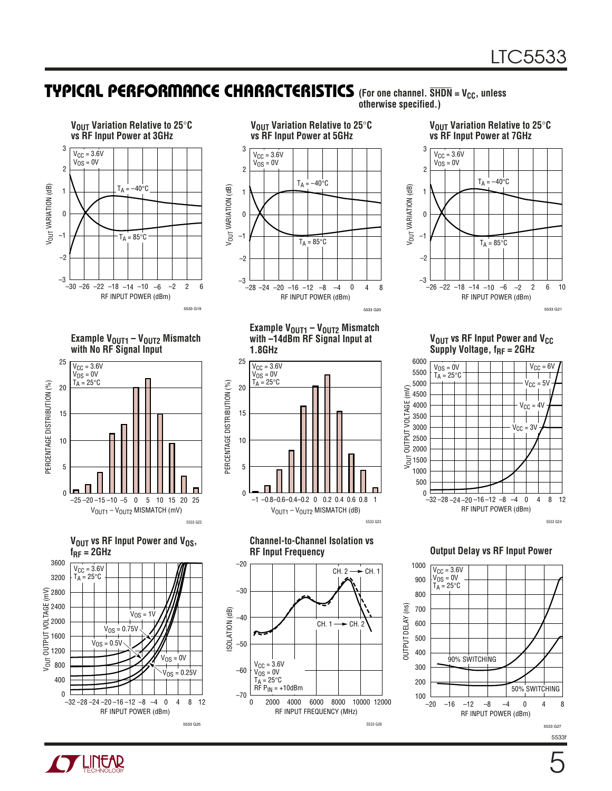#### **TYPICAL PERFORMANCE CHARACTERISTICS** (For one channel. SHDN = V<sub>CC</sub>, unless **otherwise specified.)**





**VOUT Variation Relative to 25**°**C vs RF Input Power at 7GHz** 3  $V_{CC} = 3.6V$  $V_{OS} = 0V$ 2  $T_A = -40^{\circ}C$ V<sub>OUT</sub> VARIATION (dB) VOUT VARIATION (dB) 1  $\pmb{0}$ –1  $T_A = 85^\circ C$ –2 –3 –26 –22 –18 –14 –10 −6 −2 2 6 10



**Example VOUT1 – VOUT2 Mismatch with No RF Signal Input**









**Example V<sub>OUT1</sub> – V<sub>OUT2</sub> Mismatch** 



**Channel-to-Channel Isolation vs RF Input Frequency**

5533 G23



**VOUT VS RF Input Power and V<sub>CC</sub>** Supply Voltage, f<sub>RF</sub> = 2GHz



**Output Delay vs RF Input Power**



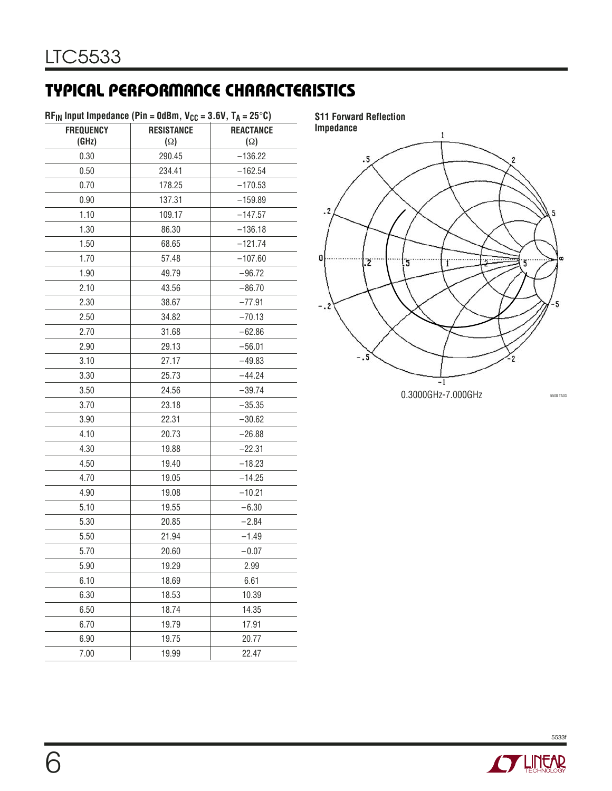# **TYPICAL PERFORMANCE CHARACTERISTICS**

| <b>FREQUENCY</b> | <b>RESISTANCE</b> | <b>REACTANCE</b> |
|------------------|-------------------|------------------|
| (GHz)            | $(\Omega)$        | $(\Omega)$       |
| 0.30             | 290.45            | $-136.22$        |
| 0.50             | 234.41            | $-162.54$        |
| 0.70             | 178.25            | $-170.53$        |
| 0.90             | 137.31            | $-159.89$        |
| 1.10             | 109.17            | $-147.57$        |
| 1.30             | 86.30             | $-136.18$        |
| 1.50             | 68.65             | $-121.74$        |
| 1.70             | 57.48             | $-107.60$        |
| 1.90             | 49.79             | $-96.72$         |
| 2.10             | 43.56             | $-86.70$         |
| 2.30             | 38.67             | $-77.91$         |
| 2.50             | 34.82             | $-70.13$         |
| 2.70             | 31.68             | $-62.86$         |
| 2.90             | 29.13             | $-56.01$         |
| 3.10             | 27.17             | $-49.83$         |
| 3.30             | 25.73             | $-44.24$         |
| 3.50             | 24.56             | $-39.74$         |
| 3.70             | 23.18             | $-35.35$         |
| 3.90             | 22.31             | $-30.62$         |
| 4.10             | 20.73             | $-26.88$         |
| 4.30             | 19.88             | $-22.31$         |
| 4.50             | 19.40             | $-18.23$         |
| 4.70             | 19.05             | $-14.25$         |
| 4.90             | 19.08             | $-10.21$         |
| 5.10             | 19.55             | $-6.30$          |
| 5.30             | 20.85             | $-2.84$          |
| 5.50             | 21.94             | $-1.49$          |
| 5.70             | 20.60             | $-0.07$          |
| 5.90             | 19.29             | 2.99             |
| 6.10             | 18.69             | 6.61             |
| 6.30             | 18.53             | 10.39            |
| 6.50             | 18.74             | 14.35            |
| 6.70             | 19.79             | 17.91            |
| 6.90             | 19.75             | 20.77            |
| 7.00             | 19.99             | 22.47            |



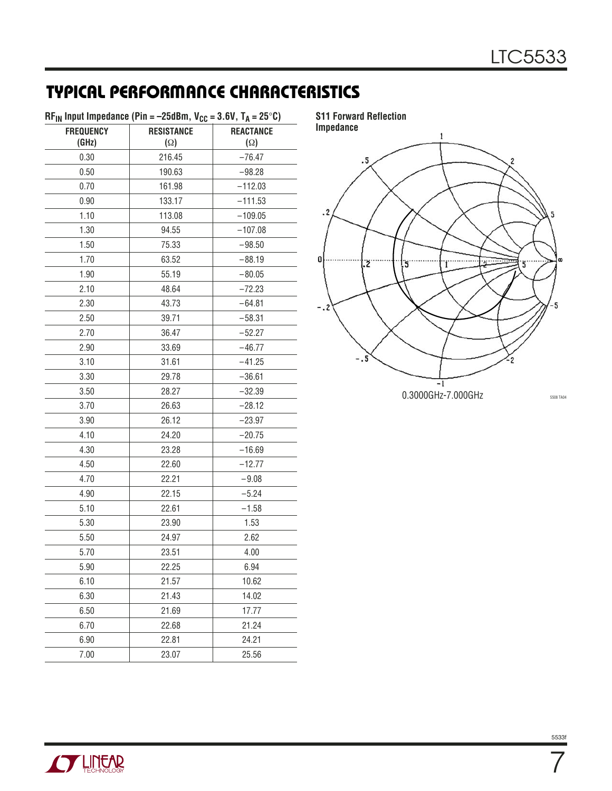# **TYPICAL PERFORMANCE CHARACTERISTICS**

| $RF_{IN}$ Input Impedance (Pin = -25dBm, V <sub>CC</sub> = 3.6V, T <sub>A</sub> = 25°C) |                   |                  |  |  |
|-----------------------------------------------------------------------------------------|-------------------|------------------|--|--|
| <b>FREQUENCY</b>                                                                        | <b>RESISTANCE</b> | <b>REACTANCE</b> |  |  |
| (GHz)                                                                                   | $(\Omega)$        | $(\Omega)$       |  |  |
| 0.30                                                                                    | 216.45            | $-76.47$         |  |  |
| 0.50                                                                                    | 190.63            | $-98.28$         |  |  |
| 0.70                                                                                    | 161.98            | $-112.03$        |  |  |
| 0.90                                                                                    | 133.17            | $-111.53$        |  |  |
| 1.10                                                                                    | 113.08            | $-109.05$        |  |  |
| 1.30                                                                                    | 94.55             | $-107.08$        |  |  |
| 1.50                                                                                    | 75.33             | $-98.50$         |  |  |
| 1.70                                                                                    | 63.52             | $-88.19$         |  |  |
| 1.90                                                                                    | 55.19             | $-80.05$         |  |  |
| 2.10                                                                                    | 48.64             | $-72.23$         |  |  |
| 2.30                                                                                    | 43.73             | $-64.81$         |  |  |
| 2.50                                                                                    | 39.71             | $-58.31$         |  |  |
| 2.70                                                                                    | 36.47             | $-52.27$         |  |  |
| 2.90                                                                                    | 33.69             | $-46.77$         |  |  |
| 3.10                                                                                    | 31.61             | $-41.25$         |  |  |
| 3.30                                                                                    | 29.78             | $-36.61$         |  |  |
| 3.50                                                                                    | 28.27             | $-32.39$         |  |  |
| 3.70                                                                                    | 26.63             | $-28.12$         |  |  |
| 3.90                                                                                    | 26.12             | $-23.97$         |  |  |
| 4.10                                                                                    | 24.20             | $-20.75$         |  |  |
| 4.30                                                                                    | 23.28             | $-16.69$         |  |  |
| 4.50                                                                                    | 22.60             | $-12.77$         |  |  |
| 4.70                                                                                    | 22.21             | $-9.08$          |  |  |
| 4.90                                                                                    | 22.15             | $-5.24$          |  |  |
| 5.10                                                                                    | 22.61             | $-1.58$          |  |  |
| 5.30                                                                                    | 23.90             | 1.53             |  |  |
| 5.50                                                                                    | 24.97             | 2.62             |  |  |
| 5.70                                                                                    | 23.51             | 4.00             |  |  |
| 5.90                                                                                    | 22.25             | 6.94             |  |  |
| 6.10                                                                                    | 21.57             | 10.62            |  |  |
| 6.30                                                                                    | 21.43             | 14.02            |  |  |
| 6.50                                                                                    | 21.69             | 17.77            |  |  |
| 6.70                                                                                    | 22.68             | 21.24            |  |  |
| 6.90                                                                                    | 22.81             | 24.21            |  |  |
| 7.00                                                                                    | 23.07             | 25.56            |  |  |



**S11 Forward Reflection**





7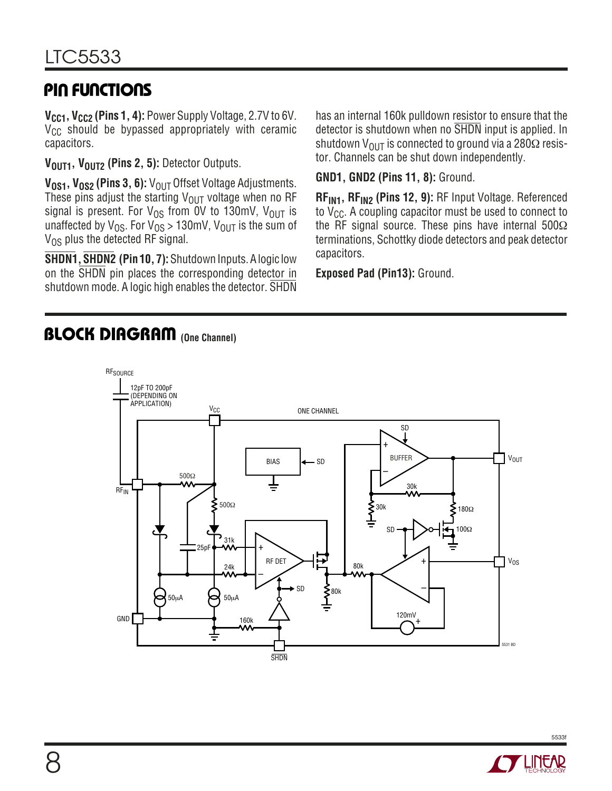# **PIN FUNCTIONS**

**V<sub>CC1</sub>, V<sub>CC2</sub> (Pins 1, 4):** Power Supply Voltage, 2.7V to 6V.  $V_{CC}$  should be bypassed appropriately with ceramic capacitors.

**V<sub>OUT1</sub>, V<sub>OUT2</sub> (Pins 2, 5):** Detector Outputs.

V<sub>0S1</sub>, V<sub>0S2</sub> (Pins 3, 6): V<sub>OUT</sub> Offset Voltage Adjustments. These pins adjust the starting  $V_{OIII}$  voltage when no RF signal is present. For  $V_{OS}$  from 0V to 130mV,  $V_{OUT}$  is unaffected by  $V_{OS}$ . For  $V_{OS} > 130$ mV,  $V_{OUT}$  is the sum of  $V_{OS}$  plus the detected RF signal.

**SHDN1, SHDN2 (Pin 10, 7):** Shutdown Inputs. A logic low on the SHDN pin places the corresponding detector in shutdown mode. A logic high enables the detector. SHDN has an internal 160k pulldown resistor to ensure that the detector is shutdown when no SHDN input is applied. In shutdown V<sub>OUT</sub> is connected to ground via a 280 $\Omega$  resistor. Channels can be shut down independently.

**GND1, GND2 (Pins 11, 8):** Ground.

**RFIN1, RFIN2 (Pins 12, 9):** RF Input Voltage. Referenced to  $V_{CC}$ . A coupling capacitor must be used to connect to the RF signal source. These pins have internal  $500\Omega$ terminations, Schottky diode detectors and peak detector capacitors.

**Exposed Pad (Pin13):** Ground.

### **BLOCK DIAGRAM** (One Channel)



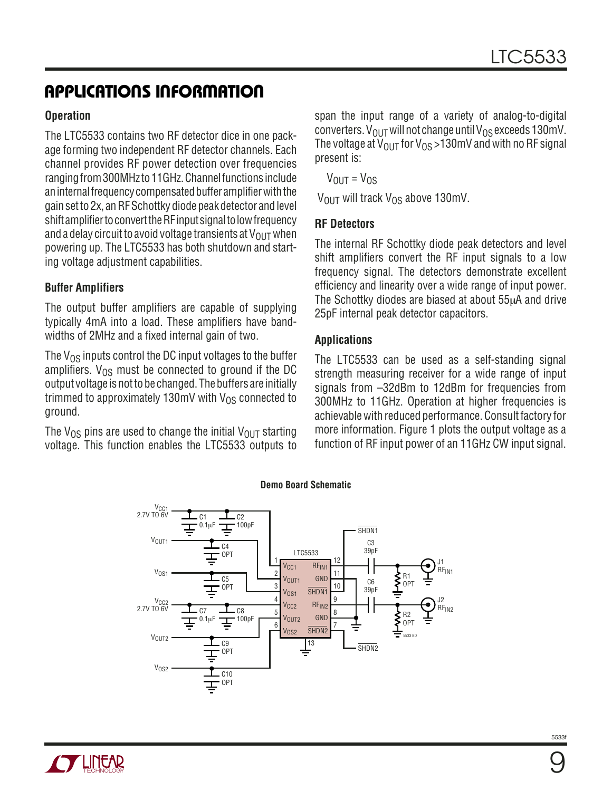# **APPLICATIONS INFORMATION**

#### **Operation**

The LTC5533 contains two RF detector dice in one package forming two independent RF detector channels. Each channel provides RF power detection over frequencies ranging from 300MHz to 11GHz. Channel functions include an internal frequency compensated buffer amplifier with the gain set to 2x, an RF Schottky diode peak detector and level shift amplifier to convert the RF input signal to low frequency and a delay circuit to avoid voltage transients at  $V_{\text{OUT}}$  when powering up. The LTC5533 has both shutdown and starting voltage adjustment capabilities.

### **Buffer Amplifiers**

The output buffer amplifiers are capable of supplying typically 4mA into a load. These amplifiers have bandwidths of 2MHz and a fixed internal gain of two.

The  $V_{OS}$  inputs control the DC input voltages to the buffer amplifiers.  $V_{OS}$  must be connected to ground if the DC output voltage is not to be changed. The buffers are initially trimmed to approximately 130mV with  $V_{OS}$  connected to ground.

The V<sub>OS</sub> pins are used to change the initial V<sub>OUT</sub> starting voltage. This function enables the LTC5533 outputs to span the input range of a variety of analog-to-digital converters.  $V_{\text{OUT}}$  will not change until  $V_{\text{OS}}$  exceeds 130mV. The voltage at  $V_{OUT}$  for  $V_{OS} > 130$  mV and with no RF signal present is:

 $V_{OIII} = V_{OS}$ 

 $V_{\text{OUT}}$  will track  $V_{\text{OS}}$  above 130mV.

#### **RF Detectors**

The internal RF Schottky diode peak detectors and level shift amplifiers convert the RF input signals to a low frequency signal. The detectors demonstrate excellent efficiency and linearity over a wide range of input power. The Schottky diodes are biased at about 55µA and drive 25pF internal peak detector capacitors.

#### **Applications**

The LTC5533 can be used as a self-standing signal strength measuring receiver for a wide range of input signals from –32dBm to 12dBm for frequencies from 300MHz to 11GHz. Operation at higher frequencies is achievable with reduced performance. Consult factory for more information. Figure 1 plots the output voltage as a function of RF input power of an 11GHz CW input signal.



**Demo Board Schematic**

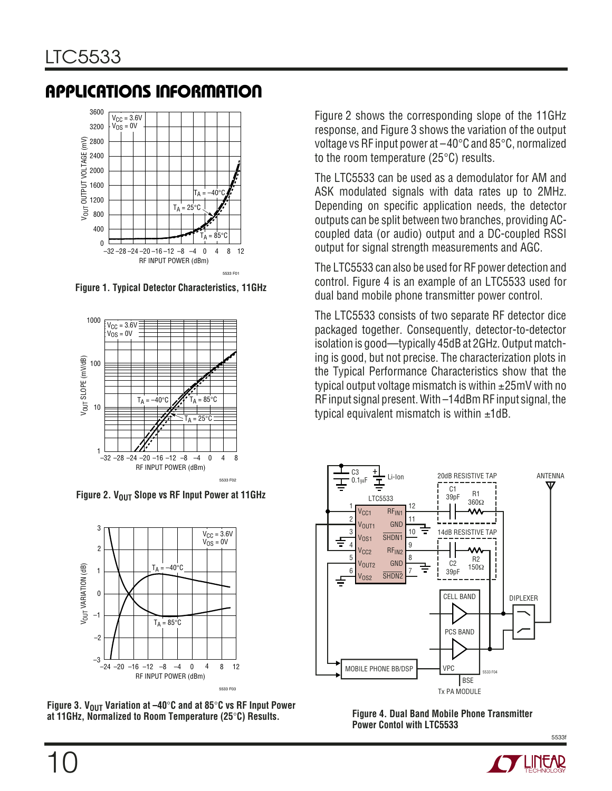# **APPLICATIONS INFORMATION**



**Figure 1. Typical Detector Characteristics, 11GHz**



**Figure 2. VOUT Slope vs RF Input Power at 11GHz** 



Figure 3. V<sub>OUT</sub> Variation at -40°C and at 85°C vs RF Input Power **at 11GHz, Normalized to Room Temperature (25**°**C) Results. Figure 4. Dual Band Mobile Phone Transmitter**

Figure 2 shows the corresponding slope of the 11GHz response, and Figure 3 shows the variation of the output voltage vs RF input power at –40°C and 85°C, normalized to the room temperature (25°C) results.

The LTC5533 can be used as a demodulator for AM and ASK modulated signals with data rates up to 2MHz. Depending on specific application needs, the detector outputs can be split between two branches, providing ACcoupled data (or audio) output and a DC-coupled RSSI output for signal strength measurements and AGC.

The LTC5533 can also be used for RF power detection and control. Figure 4 is an example of an LTC5533 used for dual band mobile phone transmitter power control.

The LTC5533 consists of two separate RF detector dice packaged together. Consequently, detector-to-detector isolation is good—typically 45dB at 2GHz. Output matching is good, but not precise. The characterization plots in the Typical Performance Characteristics show that the typical output voltage mismatch is within  $\pm 25$ mV with no RF input signal present. With –14dBm RF input signal, the typical equivalent mismatch is within  $\pm 1$ dB.



**Power Contol with LTC5533**

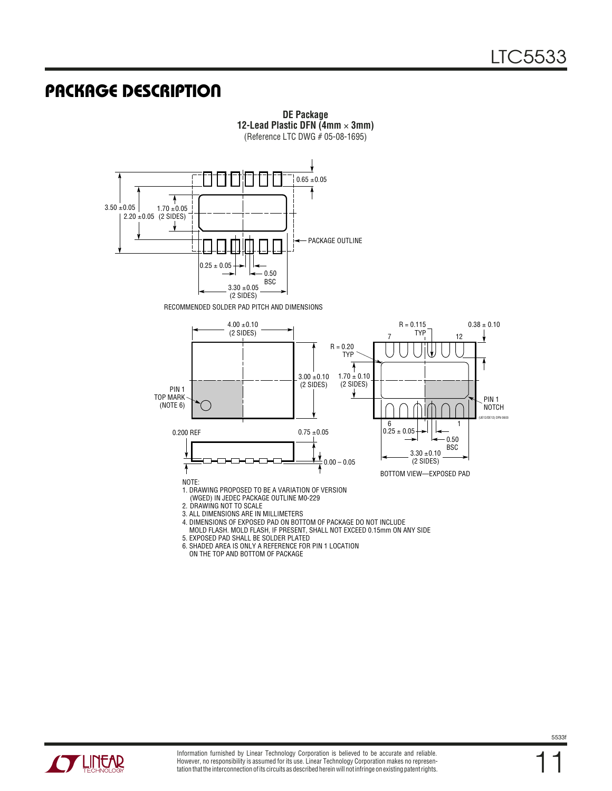# **PACKAGE DESCRIPTION**



**DE Package**

ON THE TOP AND BOTTOM OF PACKAGE



11